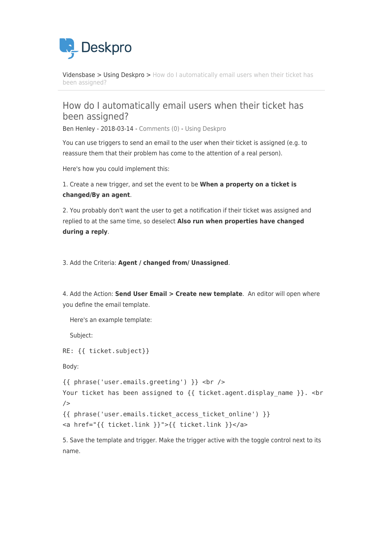

[Vidensbase](https://support.deskpro.com/da/kb) > [Using Deskpro](https://support.deskpro.com/da/kb/using-deskpro) > [How do I automatically email users when their ticket has](https://support.deskpro.com/da/kb/articles/how-do-i-automatically-email-users-when-their-ticket-has-been-assigned) [been assigned?](https://support.deskpro.com/da/kb/articles/how-do-i-automatically-email-users-when-their-ticket-has-been-assigned)

## How do I automatically email users when their ticket has been assigned?

Ben Henley - 2018-03-14 - [Comments \(0\)](#page--1-0) - [Using Deskpro](https://support.deskpro.com/da/kb/using-deskpro)

You can use triggers to send an email to the user when their ticket is assigned (e.g. to reassure them that their problem has come to the attention of a real person).

Here's how you could implement this:

1. Create a new trigger, and set the event to be **When a property on a ticket is changed/By an agent**.

2. You probably don't want the user to get a notification if their ticket was assigned and replied to at the same time, so deselect **Also run when properties have changed during a reply**.

3. Add the Criteria: **Agent / changed from/ Unassigned**.

4. Add the Action: **Send User Email > Create new template**. An editor will open where you define the email template.

Here's an example template:

Subject:

RE: {{ ticket.subject}}

Body:

```
{{ phrase('user.emails.greeting') }} <br /> 
Your ticket has been assigned to {{ ticket.agent.display name }}. < br
/{{ phrase('user.emails.ticket_access_ticket_online') }} 
<a href="{{ ticket.link }}">{{ ticket.link }}</a>
```
5. Save the template and trigger. Make the trigger active with the toggle control next to its name.